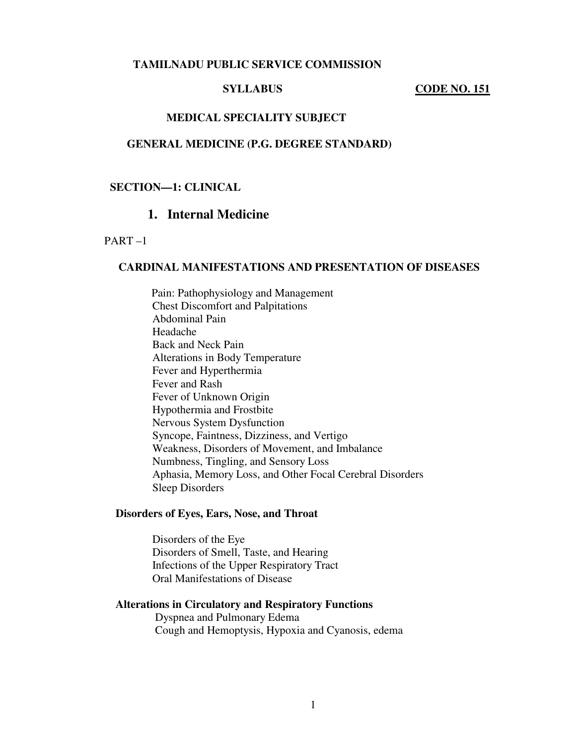#### **TAMILNADU PUBLIC SERVICE COMMISSION**

#### **SYLLABUS** CODE NO. 151

#### **MEDICAL SPECIALITY SUBJECT**

#### **GENERAL MEDICINE (P.G. DEGREE STANDARD)**

## **SECTION—1: CLINICAL**

# **1. Internal Medicine**

PART –1

#### **CARDINAL MANIFESTATIONS AND PRESENTATION OF DISEASES**

 Pain: Pathophysiology and Management Chest Discomfort and Palpitations Abdominal Pain Headache Back and Neck Pain Alterations in Body Temperature Fever and Hyperthermia Fever and Rash Fever of Unknown Origin Hypothermia and Frostbite Nervous System Dysfunction Syncope, Faintness, Dizziness, and Vertigo Weakness, Disorders of Movement, and Imbalance Numbness, Tingling, and Sensory Loss Aphasia, Memory Loss, and Other Focal Cerebral Disorders Sleep Disorders

#### **Disorders of Eyes, Ears, Nose, and Throat**

 Disorders of the Eye Disorders of Smell, Taste, and Hearing Infections of the Upper Respiratory Tract Oral Manifestations of Disease

#### **Alterations in Circulatory and Respiratory Functions**

 Dyspnea and Pulmonary Edema Cough and Hemoptysis, Hypoxia and Cyanosis, edema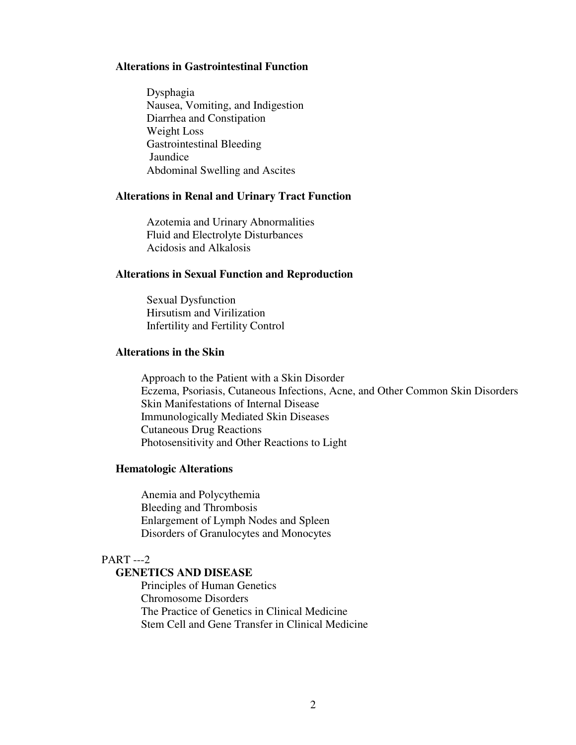#### **Alterations in Gastrointestinal Function**

 Dysphagia Nausea, Vomiting, and Indigestion Diarrhea and Constipation Weight Loss Gastrointestinal Bleeding Jaundice Abdominal Swelling and Ascites

#### **Alterations in Renal and Urinary Tract Function**

 Azotemia and Urinary Abnormalities Fluid and Electrolyte Disturbances Acidosis and Alkalosis

## **Alterations in Sexual Function and Reproduction**

 Sexual Dysfunction Hirsutism and Virilization Infertility and Fertility Control

## **Alterations in the Skin**

Approach to the Patient with a Skin Disorder Eczema, Psoriasis, Cutaneous Infections, Acne, and Other Common Skin Disorders Skin Manifestations of Internal Disease Immunologically Mediated Skin Diseases Cutaneous Drug Reactions Photosensitivity and Other Reactions to Light

#### **Hematologic Alterations**

 Anemia and Polycythemia Bleeding and Thrombosis Enlargement of Lymph Nodes and Spleen Disorders of Granulocytes and Monocytes

## PART ---2

#### **GENETICS AND DISEASE**

 Principles of Human Genetics Chromosome Disorders The Practice of Genetics in Clinical Medicine Stem Cell and Gene Transfer in Clinical Medicine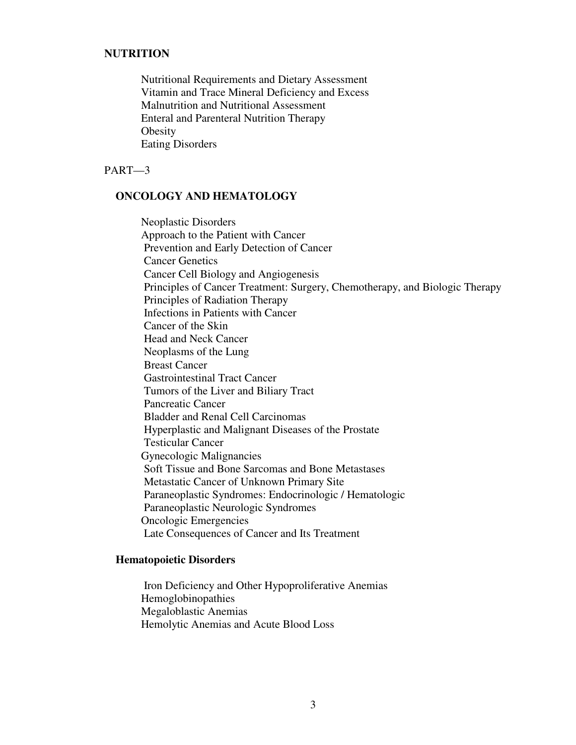# **NUTRITION**

 Nutritional Requirements and Dietary Assessment Vitamin and Trace Mineral Deficiency and Excess Malnutrition and Nutritional Assessment Enteral and Parenteral Nutrition Therapy **Obesity** Eating Disorders

PART—3

# **ONCOLOGY AND HEMATOLOGY**

 Neoplastic Disorders Approach to the Patient with Cancer Prevention and Early Detection of Cancer Cancer Genetics Cancer Cell Biology and Angiogenesis Principles of Cancer Treatment: Surgery, Chemotherapy, and Biologic Therapy Principles of Radiation Therapy Infections in Patients with Cancer Cancer of the Skin Head and Neck Cancer Neoplasms of the Lung Breast Cancer Gastrointestinal Tract Cancer Tumors of the Liver and Biliary Tract Pancreatic Cancer Bladder and Renal Cell Carcinomas Hyperplastic and Malignant Diseases of the Prostate Testicular Cancer Gynecologic Malignancies Soft Tissue and Bone Sarcomas and Bone Metastases Metastatic Cancer of Unknown Primary Site Paraneoplastic Syndromes: Endocrinologic / Hematologic Paraneoplastic Neurologic Syndromes Oncologic Emergencies Late Consequences of Cancer and Its Treatment

## **Hematopoietic Disorders**

 Iron Deficiency and Other Hypoproliferative Anemias Hemoglobinopathies Megaloblastic Anemias Hemolytic Anemias and Acute Blood Loss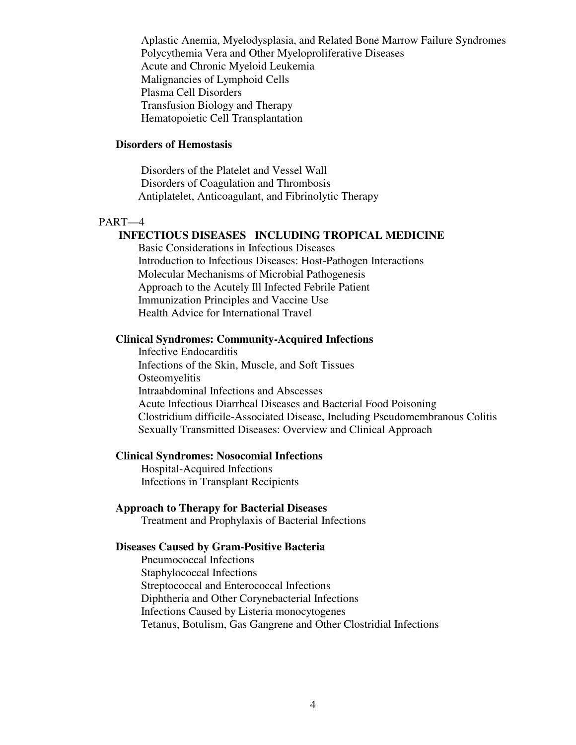Aplastic Anemia, Myelodysplasia, and Related Bone Marrow Failure Syndromes Polycythemia Vera and Other Myeloproliferative Diseases Acute and Chronic Myeloid Leukemia Malignancies of Lymphoid Cells Plasma Cell Disorders Transfusion Biology and Therapy Hematopoietic Cell Transplantation

## **Disorders of Hemostasis**

 Disorders of the Platelet and Vessel Wall Disorders of Coagulation and Thrombosis Antiplatelet, Anticoagulant, and Fibrinolytic Therapy

## PART—4

## **INFECTIOUS DISEASES INCLUDING TROPICAL MEDICINE**

 Basic Considerations in Infectious Diseases Introduction to Infectious Diseases: Host-Pathogen Interactions Molecular Mechanisms of Microbial Pathogenesis Approach to the Acutely Ill Infected Febrile Patient Immunization Principles and Vaccine Use Health Advice for International Travel

## **Clinical Syndromes: Community-Acquired Infections**

 Infective Endocarditis Infections of the Skin, Muscle, and Soft Tissues **Osteomyelitis**  Intraabdominal Infections and Abscesses Acute Infectious Diarrheal Diseases and Bacterial Food Poisoning Clostridium difficile-Associated Disease, Including Pseudomembranous Colitis Sexually Transmitted Diseases: Overview and Clinical Approach

#### **Clinical Syndromes: Nosocomial Infections**

 Hospital-Acquired Infections Infections in Transplant Recipients

#### **Approach to Therapy for Bacterial Diseases**

Treatment and Prophylaxis of Bacterial Infections

#### **Diseases Caused by Gram-Positive Bacteria**

 Pneumococcal Infections Staphylococcal Infections Streptococcal and Enterococcal Infections Diphtheria and Other Corynebacterial Infections Infections Caused by Listeria monocytogenes Tetanus, Botulism, Gas Gangrene and Other Clostridial Infections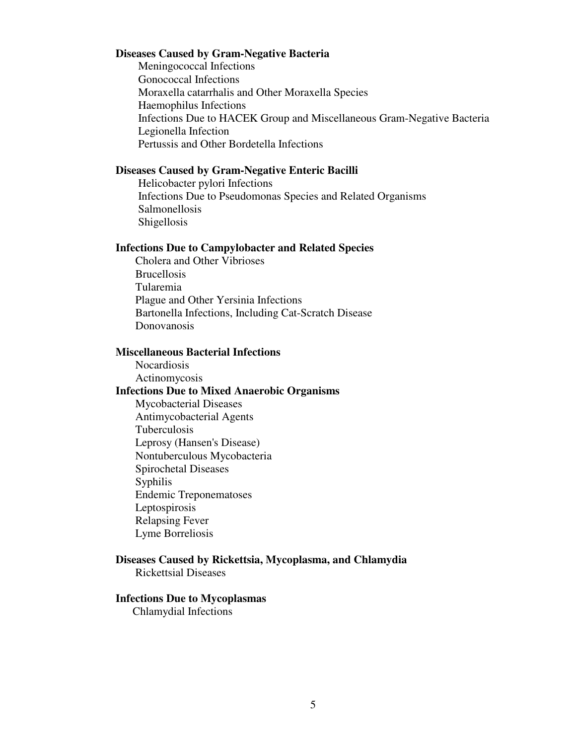#### **Diseases Caused by Gram-Negative Bacteria**

 Meningococcal Infections Gonococcal Infections Moraxella catarrhalis and Other Moraxella Species Haemophilus Infections Infections Due to HACEK Group and Miscellaneous Gram-Negative Bacteria Legionella Infection Pertussis and Other Bordetella Infections

#### **Diseases Caused by Gram-Negative Enteric Bacilli**

 Helicobacter pylori Infections Infections Due to Pseudomonas Species and Related Organisms Salmonellosis Shigellosis

## **Infections Due to Campylobacter and Related Species**

Cholera and Other Vibrioses Brucellosis Tularemia Plague and Other Yersinia Infections Bartonella Infections, Including Cat-Scratch Disease Donovanosis

### **Miscellaneous Bacterial Infections**

 Nocardiosis Actinomycosis  **Infections Due to Mixed Anaerobic Organisms**  Mycobacterial Diseases Antimycobacterial Agents Tuberculosis Leprosy (Hansen's Disease) Nontuberculous Mycobacteria Spirochetal Diseases Syphilis Endemic Treponematoses Leptospirosis Relapsing Fever Lyme Borreliosis

# **Diseases Caused by Rickettsia, Mycoplasma, and Chlamydia**

Rickettsial Diseases

#### **Infections Due to Mycoplasmas**

Chlamydial Infections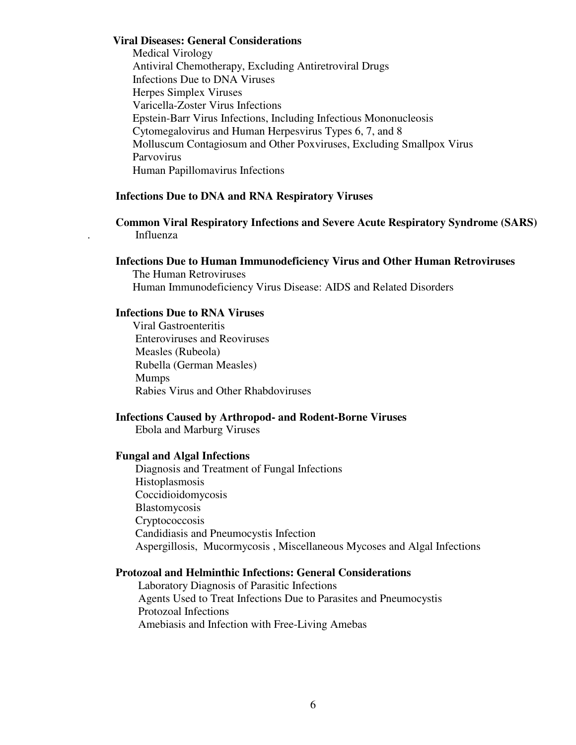#### **Viral Diseases: General Considerations**

Medical Virology Antiviral Chemotherapy, Excluding Antiretroviral Drugs Infections Due to DNA Viruses Herpes Simplex Viruses Varicella-Zoster Virus Infections Epstein-Barr Virus Infections, Including Infectious Mononucleosis Cytomegalovirus and Human Herpesvirus Types 6, 7, and 8 Molluscum Contagiosum and Other Poxviruses, Excluding Smallpox Virus Parvovirus Human Papillomavirus Infections

# **Infections Due to DNA and RNA Respiratory Viruses**

## **Common Viral Respiratory Infections and Severe Acute Respiratory Syndrome (SARS)**  . Influenza

## **Infections Due to Human Immunodeficiency Virus and Other Human Retroviruses**

 The Human Retroviruses Human Immunodeficiency Virus Disease: AIDS and Related Disorders

## **Infections Due to RNA Viruses**

 Viral Gastroenteritis Enteroviruses and Reoviruses Measles (Rubeola) Rubella (German Measles) Mumps Rabies Virus and Other Rhabdoviruses

#### **Infections Caused by Arthropod- and Rodent-Borne Viruses**

Ebola and Marburg Viruses

## **Fungal and Algal Infections**

 Diagnosis and Treatment of Fungal Infections Histoplasmosis Coccidioidomycosis Blastomycosis Cryptococcosis Candidiasis and Pneumocystis Infection Aspergillosis, Mucormycosis , Miscellaneous Mycoses and Algal Infections

#### **Protozoal and Helminthic Infections: General Considerations**

 Laboratory Diagnosis of Parasitic Infections Agents Used to Treat Infections Due to Parasites and Pneumocystis Protozoal Infections Amebiasis and Infection with Free-Living Amebas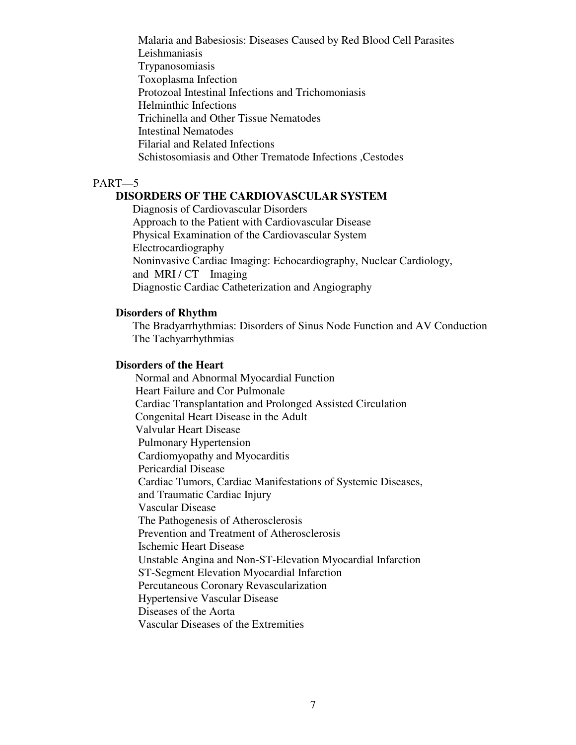Malaria and Babesiosis: Diseases Caused by Red Blood Cell Parasites Leishmaniasis Trypanosomiasis Toxoplasma Infection Protozoal Intestinal Infections and Trichomoniasis Helminthic Infections Trichinella and Other Tissue Nematodes Intestinal Nematodes Filarial and Related Infections Schistosomiasis and Other Trematode Infections ,Cestodes

## PART—5

## **DISORDERS OF THE CARDIOVASCULAR SYSTEM**

Diagnosis of Cardiovascular Disorders Approach to the Patient with Cardiovascular Disease Physical Examination of the Cardiovascular System Electrocardiography Noninvasive Cardiac Imaging: Echocardiography, Nuclear Cardiology, and MRI / CT Imaging Diagnostic Cardiac Catheterization and Angiography

#### **Disorders of Rhythm**

 The Bradyarrhythmias: Disorders of Sinus Node Function and AV Conduction The Tachyarrhythmias

#### **Disorders of the Heart**

 Normal and Abnormal Myocardial Function Heart Failure and Cor Pulmonale Cardiac Transplantation and Prolonged Assisted Circulation Congenital Heart Disease in the Adult Valvular Heart Disease Pulmonary Hypertension Cardiomyopathy and Myocarditis Pericardial Disease Cardiac Tumors, Cardiac Manifestations of Systemic Diseases, and Traumatic Cardiac Injury Vascular Disease The Pathogenesis of Atherosclerosis Prevention and Treatment of Atherosclerosis Ischemic Heart Disease Unstable Angina and Non-ST-Elevation Myocardial Infarction ST-Segment Elevation Myocardial Infarction Percutaneous Coronary Revascularization Hypertensive Vascular Disease Diseases of the Aorta Vascular Diseases of the Extremities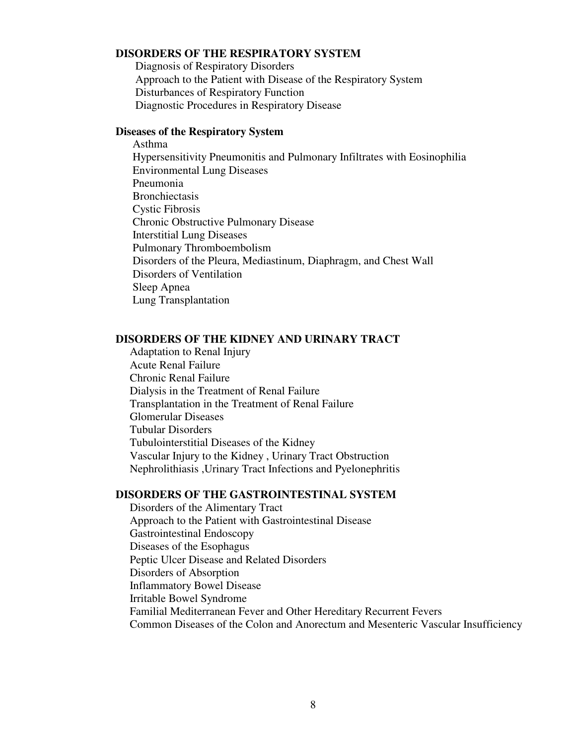## **DISORDERS OF THE RESPIRATORY SYSTEM**

 Diagnosis of Respiratory Disorders Approach to the Patient with Disease of the Respiratory System Disturbances of Respiratory Function Diagnostic Procedures in Respiratory Disease

#### **Diseases of the Respiratory System**

 Asthma Hypersensitivity Pneumonitis and Pulmonary Infiltrates with Eosinophilia Environmental Lung Diseases Pneumonia **Bronchiectasis**  Cystic Fibrosis Chronic Obstructive Pulmonary Disease Interstitial Lung Diseases Pulmonary Thromboembolism Disorders of the Pleura, Mediastinum, Diaphragm, and Chest Wall Disorders of Ventilation Sleep Apnea Lung Transplantation

## **DISORDERS OF THE KIDNEY AND URINARY TRACT**

 Adaptation to Renal Injury Acute Renal Failure Chronic Renal Failure Dialysis in the Treatment of Renal Failure Transplantation in the Treatment of Renal Failure Glomerular Diseases Tubular Disorders Tubulointerstitial Diseases of the Kidney Vascular Injury to the Kidney , Urinary Tract Obstruction Nephrolithiasis ,Urinary Tract Infections and Pyelonephritis

## **DISORDERS OF THE GASTROINTESTINAL SYSTEM**

 Disorders of the Alimentary Tract Approach to the Patient with Gastrointestinal Disease Gastrointestinal Endoscopy Diseases of the Esophagus Peptic Ulcer Disease and Related Disorders Disorders of Absorption Inflammatory Bowel Disease Irritable Bowel Syndrome Familial Mediterranean Fever and Other Hereditary Recurrent Fevers Common Diseases of the Colon and Anorectum and Mesenteric Vascular Insufficiency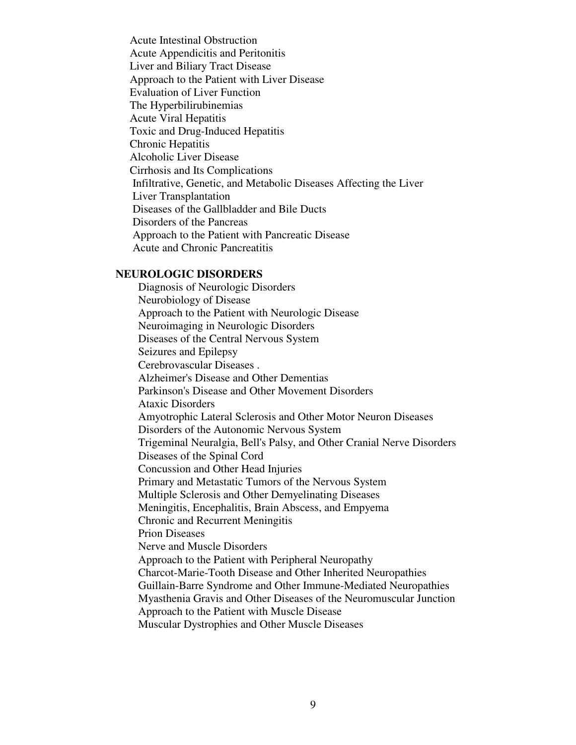Acute Intestinal Obstruction Acute Appendicitis and Peritonitis Liver and Biliary Tract Disease Approach to the Patient with Liver Disease Evaluation of Liver Function The Hyperbilirubinemias Acute Viral Hepatitis Toxic and Drug-Induced Hepatitis Chronic Hepatitis Alcoholic Liver Disease Cirrhosis and Its Complications Infiltrative, Genetic, and Metabolic Diseases Affecting the Liver Liver Transplantation Diseases of the Gallbladder and Bile Ducts Disorders of the Pancreas Approach to the Patient with Pancreatic Disease Acute and Chronic Pancreatitis

#### **NEUROLOGIC DISORDERS**

Diagnosis of Neurologic Disorders Neurobiology of Disease Approach to the Patient with Neurologic Disease Neuroimaging in Neurologic Disorders Diseases of the Central Nervous System Seizures and Epilepsy Cerebrovascular Diseases . Alzheimer's Disease and Other Dementias Parkinson's Disease and Other Movement Disorders Ataxic Disorders Amyotrophic Lateral Sclerosis and Other Motor Neuron Diseases Disorders of the Autonomic Nervous System Trigeminal Neuralgia, Bell's Palsy, and Other Cranial Nerve Disorders Diseases of the Spinal Cord Concussion and Other Head Injuries Primary and Metastatic Tumors of the Nervous System Multiple Sclerosis and Other Demyelinating Diseases Meningitis, Encephalitis, Brain Abscess, and Empyema Chronic and Recurrent Meningitis Prion Diseases Nerve and Muscle Disorders Approach to the Patient with Peripheral Neuropathy Charcot-Marie-Tooth Disease and Other Inherited Neuropathies Guillain-Barre Syndrome and Other Immune-Mediated Neuropathies Myasthenia Gravis and Other Diseases of the Neuromuscular Junction Approach to the Patient with Muscle Disease Muscular Dystrophies and Other Muscle Diseases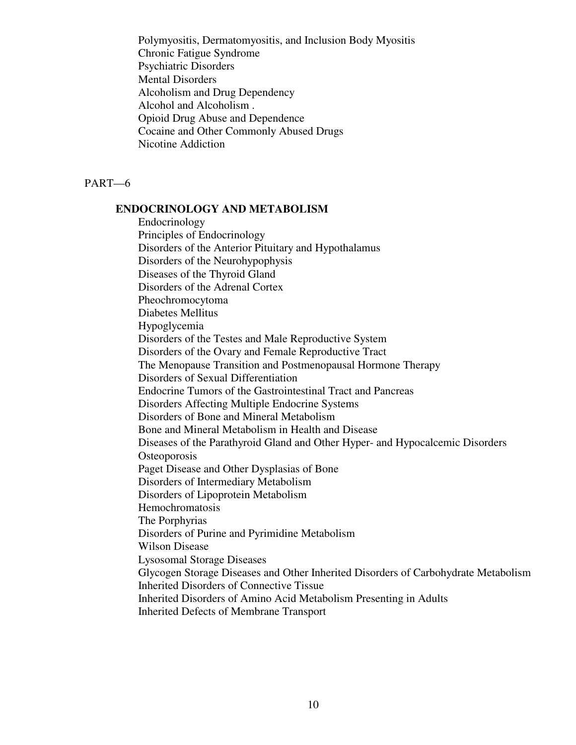Polymyositis, Dermatomyositis, and Inclusion Body Myositis Chronic Fatigue Syndrome Psychiatric Disorders Mental Disorders Alcoholism and Drug Dependency Alcohol and Alcoholism . Opioid Drug Abuse and Dependence Cocaine and Other Commonly Abused Drugs Nicotine Addiction

PART—6

#### **ENDOCRINOLOGY AND METABOLISM**

 Endocrinology Principles of Endocrinology Disorders of the Anterior Pituitary and Hypothalamus Disorders of the Neurohypophysis Diseases of the Thyroid Gland Disorders of the Adrenal Cortex Pheochromocytoma Diabetes Mellitus Hypoglycemia Disorders of the Testes and Male Reproductive System Disorders of the Ovary and Female Reproductive Tract The Menopause Transition and Postmenopausal Hormone Therapy Disorders of Sexual Differentiation Endocrine Tumors of the Gastrointestinal Tract and Pancreas Disorders Affecting Multiple Endocrine Systems Disorders of Bone and Mineral Metabolism Bone and Mineral Metabolism in Health and Disease Diseases of the Parathyroid Gland and Other Hyper- and Hypocalcemic Disorders **Osteoporosis**  Paget Disease and Other Dysplasias of Bone Disorders of Intermediary Metabolism Disorders of Lipoprotein Metabolism Hemochromatosis The Porphyrias Disorders of Purine and Pyrimidine Metabolism Wilson Disease Lysosomal Storage Diseases Glycogen Storage Diseases and Other Inherited Disorders of Carbohydrate Metabolism Inherited Disorders of Connective Tissue Inherited Disorders of Amino Acid Metabolism Presenting in Adults Inherited Defects of Membrane Transport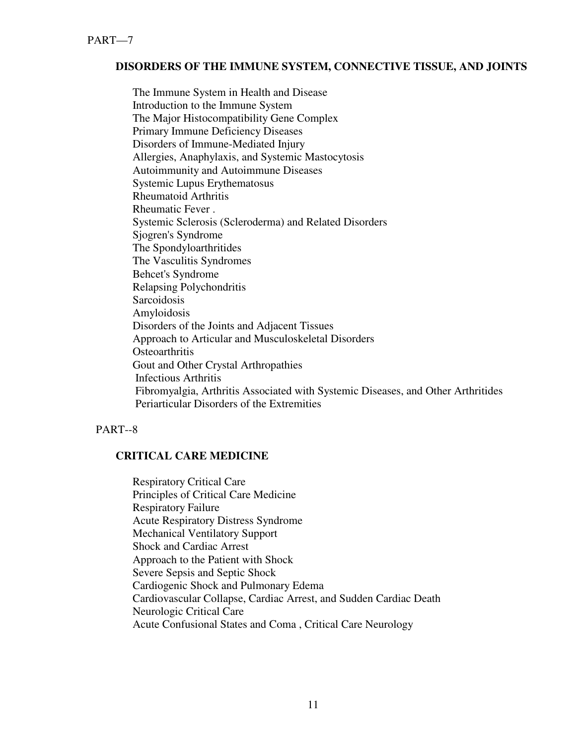# **DISORDERS OF THE IMMUNE SYSTEM, CONNECTIVE TISSUE, AND JOINTS**

 The Immune System in Health and Disease Introduction to the Immune System The Major Histocompatibility Gene Complex Primary Immune Deficiency Diseases Disorders of Immune-Mediated Injury Allergies, Anaphylaxis, and Systemic Mastocytosis Autoimmunity and Autoimmune Diseases Systemic Lupus Erythematosus Rheumatoid Arthritis Rheumatic Fever . Systemic Sclerosis (Scleroderma) and Related Disorders Sjogren's Syndrome The Spondyloarthritides The Vasculitis Syndromes Behcet's Syndrome Relapsing Polychondritis **Sarcoidosis**  Amyloidosis Disorders of the Joints and Adjacent Tissues Approach to Articular and Musculoskeletal Disorders **Osteoarthritis**  Gout and Other Crystal Arthropathies Infectious Arthritis Fibromyalgia, Arthritis Associated with Systemic Diseases, and Other Arthritides Periarticular Disorders of the Extremities

PART--8

## **CRITICAL CARE MEDICINE**

 Respiratory Critical Care Principles of Critical Care Medicine Respiratory Failure Acute Respiratory Distress Syndrome Mechanical Ventilatory Support Shock and Cardiac Arrest Approach to the Patient with Shock Severe Sepsis and Septic Shock Cardiogenic Shock and Pulmonary Edema Cardiovascular Collapse, Cardiac Arrest, and Sudden Cardiac Death Neurologic Critical Care Acute Confusional States and Coma , Critical Care Neurology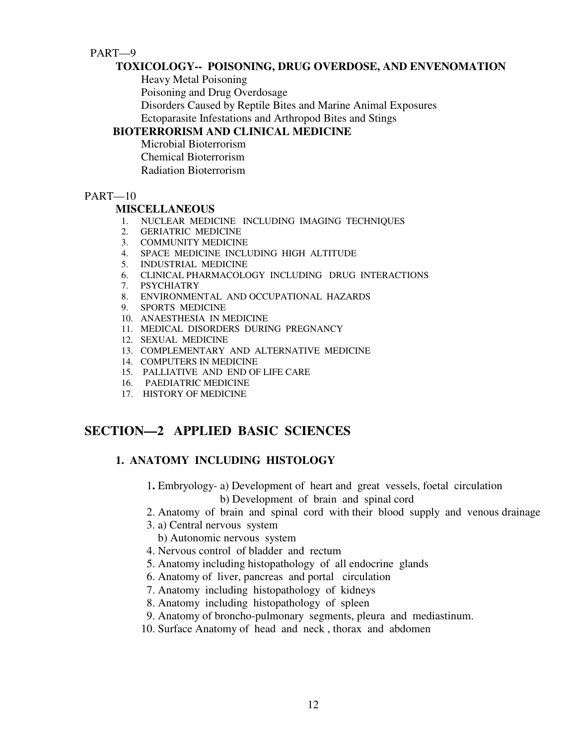# PART—9

## **TOXICOLOGY-- POISONING, DRUG OVERDOSE, AND ENVENOMATION**

Heavy Metal Poisoning

Poisoning and Drug Overdosage

Disorders Caused by Reptile Bites and Marine Animal Exposures

Ectoparasite Infestations and Arthropod Bites and Stings

# **BIOTERRORISM AND CLINICAL MEDICINE**

 Microbial Bioterrorism Chemical Bioterrorism Radiation Bioterrorism

## PART—10

#### **MISCELLANEOUS**

- 1. NUCLEAR MEDICINE INCLUDING IMAGING TECHNIQUES
- 2. GERIATRIC MEDICINE
- 3. COMMUNITY MEDICINE
- 4. SPACE MEDICINE INCLUDING HIGH ALTITUDE
- 5. INDUSTRIAL MEDICINE
- 6. CLINICAL PHARMACOLOGY INCLUDING DRUG INTERACTIONS
- 7. PSYCHIATRY
- 8. ENVIRONMENTAL AND OCCUPATIONAL HAZARDS
- 9. SPORTS MEDICINE
- 10. ANAESTHESIA IN MEDICINE
- 11. MEDICAL DISORDERS DURING PREGNANCY
- 12. SEXUAL MEDICINE
- 13. COMPLEMENTARY AND ALTERNATIVE MEDICINE
- 14. COMPUTERS IN MEDICINE
- 15. PALLIATIVE AND END OF LIFE CARE
- 16. PAEDIATRIC MEDICINE
- 17. HISTORY OF MEDICINE

# **SECTION—2 APPLIED BASIC SCIENCES**

# **1. ANATOMY INCLUDING HISTOLOGY**

- 1**.** Embryology- a) Development of heart and great vessels, foetal circulation b) Development of brain and spinal cord
- 2. Anatomy of brain and spinal cord with their blood supply and venous drainage
- 3. a) Central nervous system
	- b) Autonomic nervous system
- 4. Nervous control of bladder and rectum
- 5. Anatomy including histopathology of all endocrine glands
- 6. Anatomy of liver, pancreas and portal circulation
- 7. Anatomy including histopathology of kidneys
- 8. Anatomy including histopathology of spleen
- 9. Anatomy of broncho-pulmonary segments, pleura and mediastinum.
- 10. Surface Anatomy of head and neck , thorax and abdomen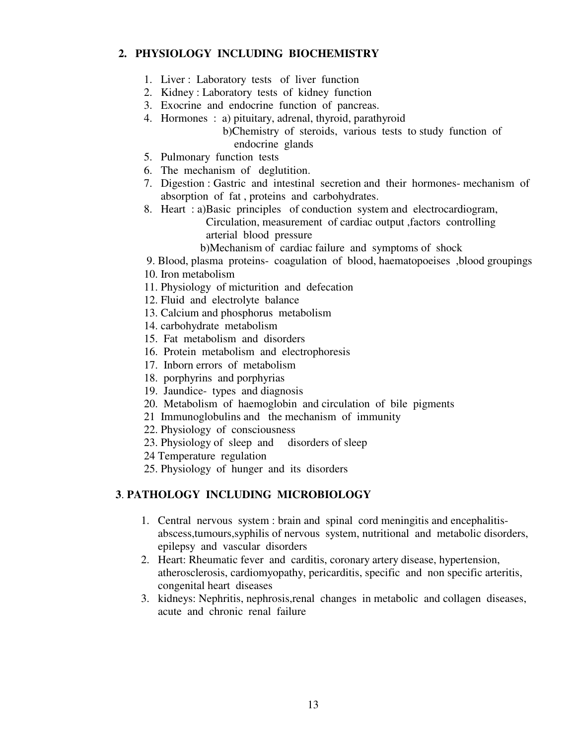# **2. PHYSIOLOGY INCLUDING BIOCHEMISTRY**

- 1. Liver : Laboratory tests of liver function
- 2. Kidney : Laboratory tests of kidney function
- 3. Exocrine and endocrine function of pancreas.
- 4. Hormones : a) pituitary, adrenal, thyroid, parathyroid b)Chemistry of steroids, various tests to study function of
	- endocrine glands
- 5. Pulmonary function tests
- 6. The mechanism of deglutition.
- 7. Digestion : Gastric and intestinal secretion and their hormones- mechanism of absorption of fat , proteins and carbohydrates.
- 8. Heart : a)Basic principles of conduction system and electrocardiogram, Circulation, measurement of cardiac output ,factors controlling
	- arterial blood pressure
	- b)Mechanism of cardiac failure and symptoms of shock
- 9. Blood, plasma proteins- coagulation of blood, haematopoeises ,blood groupings
- 10. Iron metabolism
- 11. Physiology of micturition and defecation
- 12. Fluid and electrolyte balance
- 13. Calcium and phosphorus metabolism
- 14. carbohydrate metabolism
- 15. Fat metabolism and disorders
- 16. Protein metabolism and electrophoresis
- 17. Inborn errors of metabolism
- 18. porphyrins and porphyrias
- 19. Jaundice- types and diagnosis
- 20. Metabolism of haemoglobin and circulation of bile pigments
- 21 Immunoglobulins and the mechanism of immunity
- 22. Physiology of consciousness
- 23. Physiology of sleep and disorders of sleep
- 24 Temperature regulation
- 25. Physiology of hunger and its disorders

# **3**. **PATHOLOGY INCLUDING MICROBIOLOGY**

- 1. Central nervous system : brain and spinal cord meningitis and encephalitisabscess,tumours,syphilis of nervous system, nutritional and metabolic disorders, epilepsy and vascular disorders
- 2. Heart: Rheumatic fever and carditis, coronary artery disease, hypertension, atherosclerosis, cardiomyopathy, pericarditis, specific and non specific arteritis, congenital heart diseases
- 3. kidneys: Nephritis, nephrosis,renal changes in metabolic and collagen diseases, acute and chronic renal failure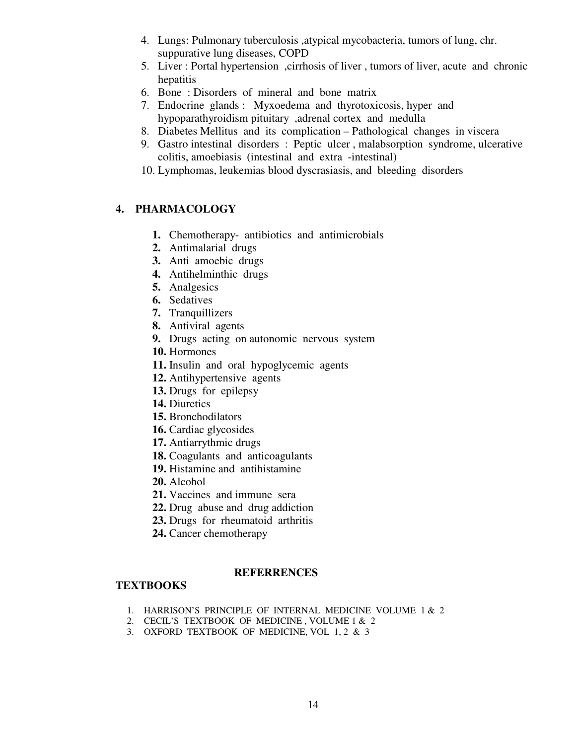- 4. Lungs: Pulmonary tuberculosis ,atypical mycobacteria, tumors of lung, chr. suppurative lung diseases, COPD
- 5. Liver : Portal hypertension ,cirrhosis of liver , tumors of liver, acute and chronic hepatitis
- 6. Bone : Disorders of mineral and bone matrix
- 7. Endocrine glands : Myxoedema and thyrotoxicosis, hyper and hypoparathyroidism pituitary ,adrenal cortex and medulla
- 8. Diabetes Mellitus and its complication Pathological changes in viscera
- 9. Gastro intestinal disorders : Peptic ulcer , malabsorption syndrome, ulcerative colitis, amoebiasis (intestinal and extra -intestinal)
- 10. Lymphomas, leukemias blood dyscrasiasis, and bleeding disorders

# **4. PHARMACOLOGY**

- **1.** Chemotherapy- antibiotics and antimicrobials
- **2.** Antimalarial drugs
- **3.** Anti amoebic drugs
- **4.** Antihelminthic drugs
- **5.** Analgesics
- **6.** Sedatives
- **7.** Tranquillizers
- **8.** Antiviral agents
- **9.** Drugs acting on autonomic nervous system
- **10.** Hormones
- **11.** Insulin and oral hypoglycemic agents
- **12.** Antihypertensive agents
- **13.** Drugs for epilepsy
- **14.** Diuretics
- **15.** Bronchodilators
- **16.** Cardiac glycosides
- **17.** Antiarrythmic drugs
- **18.** Coagulants and anticoagulants
- **19.** Histamine and antihistamine
- **20.** Alcohol
- **21.** Vaccines and immune sera
- **22.** Drug abuse and drug addiction
- **23.** Drugs for rheumatoid arthritis
- **24.** Cancer chemotherapy

#### **REFERRENCES**

## **TEXTBOOKS**

- 1. HARRISON'S PRINCIPLE OF INTERNAL MEDICINE VOLUME 1 & 2
- 2. CECIL'S TEXTBOOK OF MEDICINE , VOLUME 1 & 2
- 3. OXFORD TEXTBOOK OF MEDICINE, VOL 1, 2 & 3